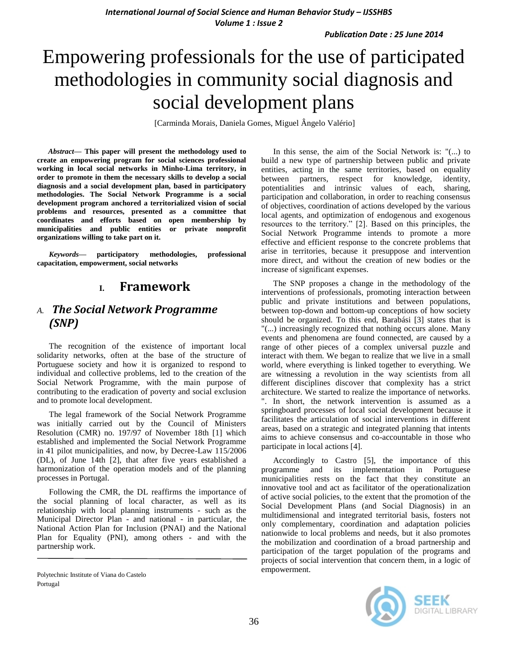# Empowering professionals for the use of participated methodologies in community social diagnosis and social development plans

[Carminda Morais, Daniela Gomes, Miguel Ângelo Valério]

*Abstract***— This paper will present the methodology used to create an empowering program for social sciences professional working in local social networks in Minho-Lima territory, in order to promote in them the necessary skills to develop a social diagnosis and a social development plan, based in participatory methodologies. The Social Network Programme is a social development program anchored a territorialized vision of social problems and resources, presented as a committee that coordinates and efforts based on open membership by municipalities and public entities or private nonprofit organizations willing to take part on it.**

*Keywords—* **participatory methodologies, professional capacitation, empowerment, social networks**

## **I. Framework**

#### *A. The Social Network Programme (SNP)*

The recognition of the existence of important local solidarity networks, often at the base of the structure of Portuguese society and how it is organized to respond to individual and collective problems, led to the creation of the Social Network Programme, with the main purpose of contributing to the eradication of poverty and social exclusion and to promote local development.

The legal framework of the Social Network Programme was initially carried out by the Council of Ministers Resolution (CMR) no. 197/97 of November 18th [1] which established and implemented the Social Network Programme in 41 pilot municipalities, and now, by Decree-Law 115/2006 (DL), of June 14th [2], that after five years established a harmonization of the operation models and of the planning processes in Portugal.

Following the CMR, the DL reaffirms the importance of the social planning of local character, as well as its relationship with local planning instruments - such as the Municipal Director Plan - and national - in particular, the National Action Plan for Inclusion (PNAI) and the National Plan for Equality (PNI), among others - and with the partnership work.

In this sense, the aim of the Social Network is: "(...) to build a new type of partnership between public and private entities, acting in the same territories, based on equality between partners, respect for knowledge, identity, potentialities and intrinsic values of each, sharing, participation and collaboration, in order to reaching consensus of objectives, coordination of actions developed by the various local agents, and optimization of endogenous and exogenous resources to the territory." [2]. Based on this principles, the Social Network Programme intends to promote a more effective and efficient response to the concrete problems that arise in territories, because it presuppose and intervention more direct, and without the creation of new bodies or the increase of significant expenses.

The SNP proposes a change in the methodology of the interventions of professionals, promoting interaction between public and private institutions and between populations, between top-down and bottom-up conceptions of how society should be organized. To this end, Barabási [3] states that is "(...) increasingly recognized that nothing occurs alone. Many events and phenomena are found connected, are caused by a range of other pieces of a complex universal puzzle and interact with them. We began to realize that we live in a small world, where everything is linked together to everything. We are witnessing a revolution in the way scientists from all different disciplines discover that complexity has a strict architecture. We started to realize the importance of networks. ". In short, the network intervention is assumed as a springboard processes of local social development because it facilitates the articulation of social interventions in different areas, based on a strategic and integrated planning that intents aims to achieve consensus and co-accountable in those who participate in local actions [4].

Accordingly to Castro [5], the importance of this programme and its implementation in Portuguese municipalities rests on the fact that they constitute an innovative tool and act as facilitator of the operationalization of active social policies, to the extent that the promotion of the Social Development Plans (and Social Diagnosis) in an multidimensional and integrated territorial basis, fosters not only complementary, coordination and adaptation policies nationwide to local problems and needs, but it also promotes the mobilization and coordination of a broad partnership and participation of the target population of the programs and projects of social intervention that concern them, in a logic of empowerment.



Polytechnic Institute of Viana do Castelo Portugal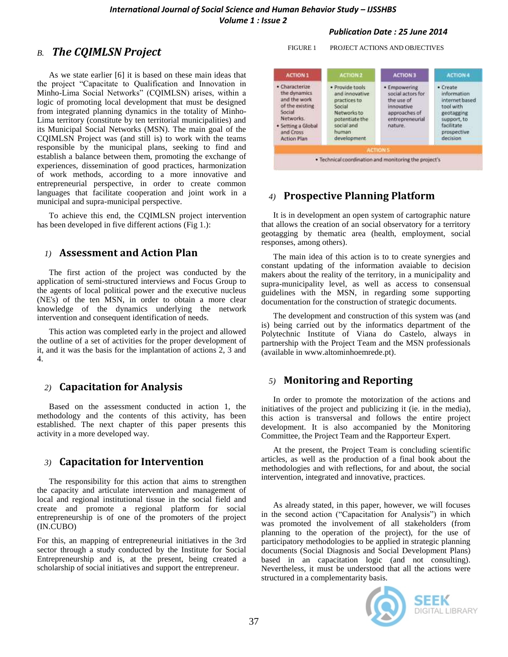#### *International Journal of Social Science and Human Behavior Study – IJSSHBS Volume 1 : Issue 2*

#### *B. The CQIMLSN Project*

As we state earlier [6] it is based on these main ideas that the project "Capacitate to Qualification and Innovation in Minho-Lima Social Networks" (CQIMLSN) arises, within a logic of promoting local development that must be designed from integrated planning dynamics in the totality of Minho-Lima territory (constitute by ten territorial municipalities) and its Municipal Social Networks (MSN). The main goal of the CQIMLSN Project was (and still is) to work with the teams responsible by the municipal plans, seeking to find and establish a balance between them, promoting the exchange of experiences, dissemination of good practices, harmonization of work methods, according to a more innovative and entrepreneurial perspective, in order to create common languages that facilitate cooperation and joint work in a municipal and supra-municipal perspective.

To achieve this end, the CQIMLSN project intervention has been developed in five different actions (Fig 1.):

#### *1)* **Assessment and Action Plan**

The first action of the project was conducted by the application of semi-structured interviews and Focus Group to the agents of local political power and the executive nucleus (NE's) of the ten MSN, in order to obtain a more clear knowledge of the dynamics underlying the network intervention and consequent identification of needs.

This action was completed early in the project and allowed the outline of a set of activities for the proper development of it, and it was the basis for the implantation of actions 2, 3 and 4.

#### *2)* **Capacitation for Analysis**

Based on the assessment conducted in action 1, the methodology and the contents of this activity, has been established. The next chapter of this paper presents this activity in a more developed way.

#### *3)* **Capacitation for Intervention**

The responsibility for this action that aims to strengthen the capacity and articulate intervention and management of local and regional institutional tissue in the social field and create and promote a regional platform for social entrepreneurship is of one of the promoters of the project (IN.CUBO)

For this, an mapping of entrepreneurial initiatives in the 3rd sector through a study conducted by the Institute for Social Entrepreneurship and is, at the present, being created a scholarship of social initiatives and support the entrepreneur.

#### *Publication Date : 25 June 2014*

FIGURE 1 PROJECT ACTIONS AND OBJECTIVES



#### *4)* **Prospective Planning Platform**

It is in development an open system of cartographic nature that allows the creation of an social observatory for a territory geotagging by thematic area (health, employment, social responses, among others).

The main idea of this action is to to create synergies and constant updating of the information avaiable to decision makers about the reality of the territory, in a municipality and supra-municipality level, as well as access to consensual guidelines with the MSN, in regarding some supporting documentation for the construction of strategic documents.

The development and construction of this system was (and is) being carried out by the informatics department of the Polytechnic Institute of Viana do Castelo, always in partnership with the Project Team and the MSN professionals (available in www.altominhoemrede.pt).

#### *5)* **Monitoring and Reporting**

In order to promote the motorization of the actions and initiatives of the project and publicizing it (ie. in the media), this action is transversal and follows the entire project development. It is also accompanied by the Monitoring Committee, the Project Team and the Rapporteur Expert.

At the present, the Project Team is concluding scientific articles, as well as the production of a final book about the methodologies and with reflections, for and about, the social intervention, integrated and innovative, practices.

As already stated, in this paper, however, we will focuses in the second action ("Capacitation for Analysis") in which was promoted the involvement of all stakeholders (from planning to the operation of the project), for the use of participatory methodologies to be applied in strategic planning documents (Social Diagnosis and Social Development Plans) based in an capacitation logic (and not consulting). Nevertheless, it must be understood that all the actions were structured in a complementarity basis.

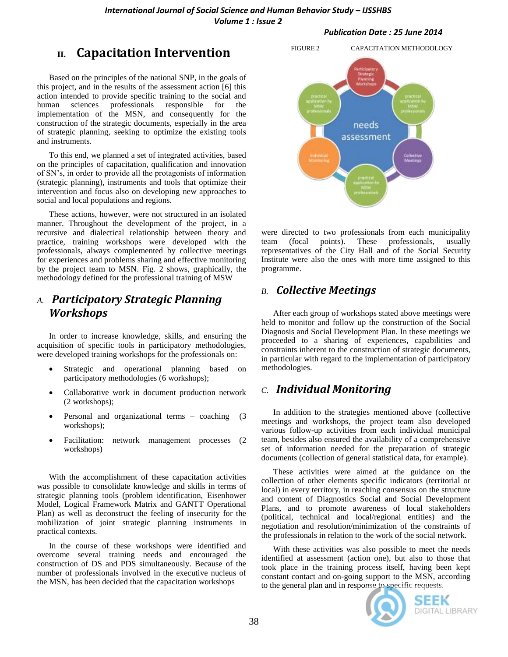*International Journal of Social Science and Human Behavior Study – IJSSHBS Volume 1 : Issue 2*

## **II. Capacitation Intervention**

Based on the principles of the national SNP, in the goals of this project, and in the results of the assessment action [6] this action intended to provide specific training to the social and human sciences professionals responsible for the implementation of the MSN, and consequently for the construction of the strategic documents, especially in the area of strategic planning, seeking to optimize the existing tools and instruments.

To this end, we planned a set of integrated activities, based on the principles of capacitation, qualification and innovation of SN's, in order to provide all the protagonists of information (strategic planning), instruments and tools that optimize their intervention and focus also on developing new approaches to social and local populations and regions.

These actions, however, were not structured in an isolated manner. Throughout the development of the project, in a recursive and dialectical relationship between theory and practice, training workshops were developed with the professionals, always complemented by collective meetings for experiences and problems sharing and effective monitoring by the project team to MSN. Fig. 2 shows, graphically, the methodology defined for the professional training of MSW

### *A. Participatory Strategic Planning Workshops*

In order to increase knowledge, skills, and ensuring the acquisition of specific tools in participatory methodologies, were developed training workshops for the professionals on:

- Strategic and operational planning based on participatory methodologies (6 workshops);
- Collaborative work in document production network (2 workshops);
- Personal and organizational terms coaching (3) workshops);
- Facilitation: network management processes (2 workshops)

With the accomplishment of these capacitation activities was possible to consolidate knowledge and skills in terms of strategic planning tools (problem identification, Eisenhower Model, Logical Framework Matrix and GANTT Operational Plan) as well as deconstruct the feeling of insecurity for the mobilization of joint strategic planning instruments in practical contexts.

In the course of these workshops were identified and overcome several training needs and encouraged the construction of DS and PDS simultaneously. Because of the number of professionals involved in the executive nucleus of the MSN, has been decided that the capacitation workshops





were directed to two professionals from each municipality team (focal points). These professionals, usually representatives of the City Hall and of the Social Security Institute were also the ones with more time assigned to this programme.

#### *B. Collective Meetings*

After each group of workshops stated above meetings were held to monitor and follow up the construction of the Social Diagnosis and Social Development Plan. In these meetings we proceeded to a sharing of experiences, capabilities and constraints inherent to the construction of strategic documents, in particular with regard to the implementation of participatory methodologies.

#### *C. Individual Monitoring*

In addition to the strategies mentioned above (collective meetings and workshops, the project team also developed various follow-up activities from each individual municipal team, besides also ensured the availability of a comprehensive set of information needed for the preparation of strategic documents (collection of general statistical data, for example).

These activities were aimed at the guidance on the collection of other elements specific indicators (territorial or local) in every territory, in reaching consensus on the structure and content of Diagnostics Social and Social Development Plans, and to promote awareness of local stakeholders (political, technical and local/regional entities) and the negotiation and resolution/minimization of the constraints of the professionals in relation to the work of the social network.

With these activities was also possible to meet the needs identified at assessment (action one), but also to those that took place in the training process itself, having been kept constant contact and on-going support to the MSN, according to the general plan and in response to specific requests.